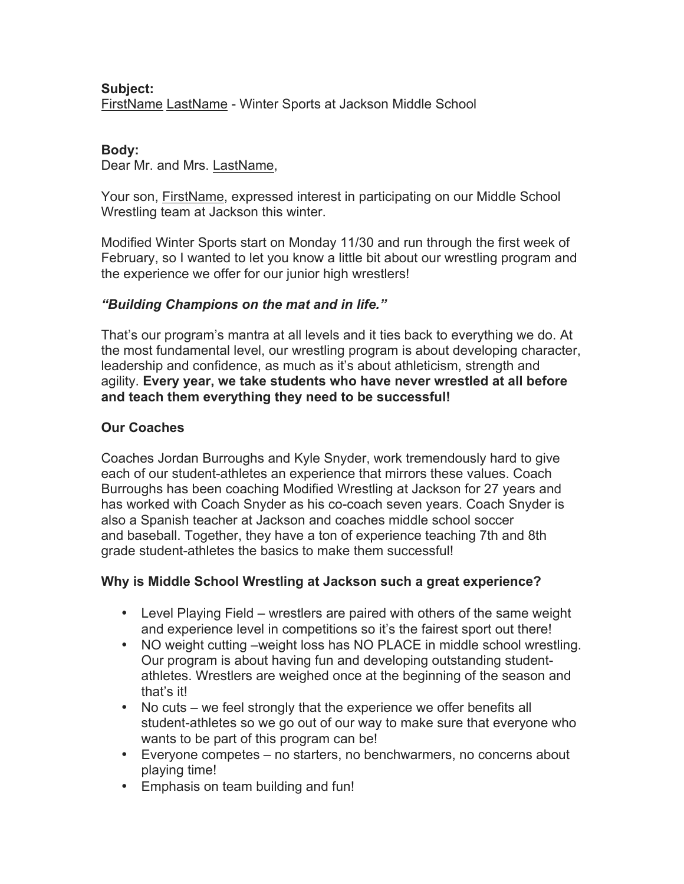# **Subject:**  FirstName LastName - Winter Sports at Jackson Middle School

### **Body:**

Dear Mr. and Mrs. LastName,

Your son, FirstName, expressed interest in participating on our Middle School Wrestling team at Jackson this winter.

Modified Winter Sports start on Monday 11/30 and run through the first week of February, so I wanted to let you know a little bit about our wrestling program and the experience we offer for our junior high wrestlers!

# *"Building Champions on the mat and in life."*

That's our program's mantra at all levels and it ties back to everything we do. At the most fundamental level, our wrestling program is about developing character, leadership and confidence, as much as it's about athleticism, strength and agility. **Every year, we take students who have never wrestled at all before and teach them everything they need to be successful!**

### **Our Coaches**

Coaches Jordan Burroughs and Kyle Snyder, work tremendously hard to give each of our student-athletes an experience that mirrors these values. Coach Burroughs has been coaching Modified Wrestling at Jackson for 27 years and has worked with Coach Snyder as his co-coach seven years. Coach Snyder is also a Spanish teacher at Jackson and coaches middle school soccer and baseball. Together, they have a ton of experience teaching 7th and 8th grade student-athletes the basics to make them successful!

#### **Why is Middle School Wrestling at Jackson such a great experience?**

- Level Playing Field wrestlers are paired with others of the same weight and experience level in competitions so it's the fairest sport out there!
- NO weight cutting –weight loss has NO PLACE in middle school wrestling. Our program is about having fun and developing outstanding studentathletes. Wrestlers are weighed once at the beginning of the season and that's it!
- No cuts we feel strongly that the experience we offer benefits all student-athletes so we go out of our way to make sure that everyone who wants to be part of this program can be!
- Everyone competes no starters, no benchwarmers, no concerns about playing time!
- Emphasis on team building and fun!